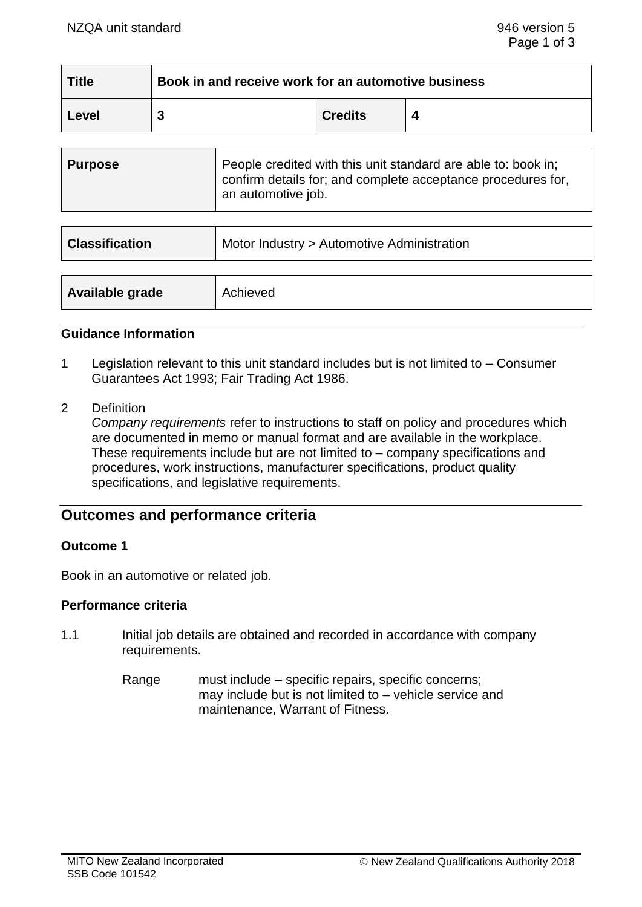| <b>Title</b> | Book in and receive work for an automotive business |                |  |  |
|--------------|-----------------------------------------------------|----------------|--|--|
| Level        |                                                     | <b>Credits</b> |  |  |

| <b>Purpose</b>        | People credited with this unit standard are able to: book in;<br>confirm details for; and complete acceptance procedures for,<br>an automotive job. |
|-----------------------|-----------------------------------------------------------------------------------------------------------------------------------------------------|
|                       |                                                                                                                                                     |
| <b>Classification</b> | Motor Industry > Automotive Administration                                                                                                          |

| Available grade<br>Achieved |
|-----------------------------|
|-----------------------------|

#### **Guidance Information**

- 1 Legislation relevant to this unit standard includes but is not limited to Consumer Guarantees Act 1993; Fair Trading Act 1986.
- 2 Definition

*Company requirements* refer to instructions to staff on policy and procedures which are documented in memo or manual format and are available in the workplace. These requirements include but are not limited to – company specifications and procedures, work instructions, manufacturer specifications, product quality specifications, and legislative requirements.

# **Outcomes and performance criteria**

#### **Outcome 1**

Book in an automotive or related job.

#### **Performance criteria**

- 1.1 Initial job details are obtained and recorded in accordance with company requirements.
	- Range must include specific repairs, specific concerns; may include but is not limited to – vehicle service and maintenance, Warrant of Fitness.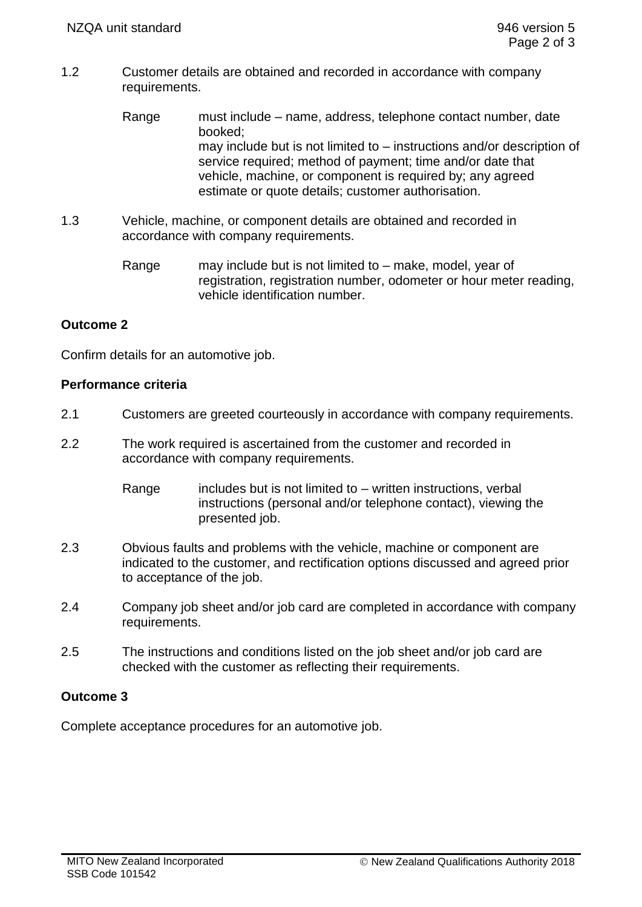- 1.2 Customer details are obtained and recorded in accordance with company requirements.
	- Range must include name, address, telephone contact number, date booked; may include but is not limited to – instructions and/or description of service required; method of payment; time and/or date that vehicle, machine, or component is required by; any agreed estimate or quote details; customer authorisation.
- 1.3 Vehicle, machine, or component details are obtained and recorded in accordance with company requirements.
	- Range may include but is not limited to make, model, year of registration, registration number, odometer or hour meter reading, vehicle identification number.

# **Outcome 2**

Confirm details for an automotive job.

#### **Performance criteria**

- 2.1 Customers are greeted courteously in accordance with company requirements.
- 2.2 The work required is ascertained from the customer and recorded in accordance with company requirements.
	- Range includes but is not limited to written instructions, verbal instructions (personal and/or telephone contact), viewing the presented job.
- 2.3 Obvious faults and problems with the vehicle, machine or component are indicated to the customer, and rectification options discussed and agreed prior to acceptance of the job.
- 2.4 Company job sheet and/or job card are completed in accordance with company requirements.
- 2.5 The instructions and conditions listed on the job sheet and/or job card are checked with the customer as reflecting their requirements.

# **Outcome 3**

Complete acceptance procedures for an automotive job.